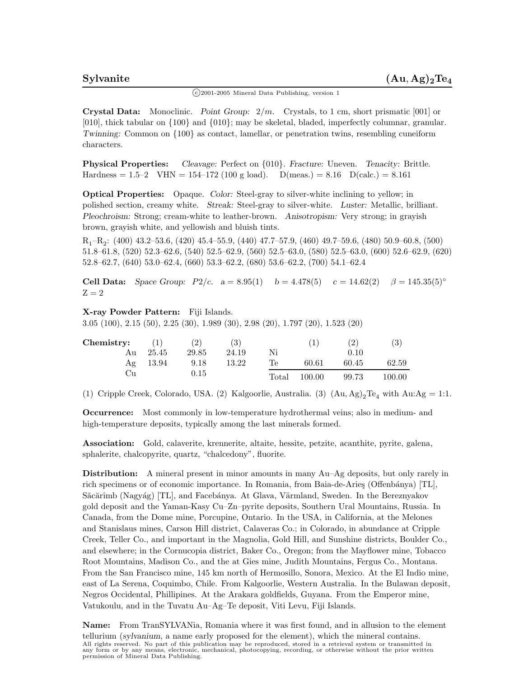$\binom{c}{2001-2005}$  Mineral Data Publishing, version 1

**Crystal Data:** Monoclinic. *Point Group:* 2*/m.* Crystals, to 1 cm, short prismatic [001] or [010], thick tabular on {100} and {010}; may be skeletal, bladed, imperfectly columnar, granular. *Twinning:* Common on  $\{100\}$  as contact, lamellar, or penetration twins, resembling cuneiform characters.

**Physical Properties:** *Cleavage:* Perfect on {010}. *Fracture:* Uneven. *Tenacity:* Brittle. Hardness = 1.5–2 VHN = 154–172 (100 g load). D(meas.) = 8.16 D(calc.) = 8.161

**Optical Properties:** Opaque. *Color:* Steel-gray to silver-white inclining to yellow; in polished section, creamy white. *Streak:* Steel-gray to silver-white. *Luster:* Metallic, brilliant. *Pleochroism:* Strong; cream-white to leather-brown. *Anisotropism:* Very strong; in grayish brown, grayish white, and yellowish and bluish tints.

 $R_1-R_2$ : (400) 43.2–53.6, (420) 45.4–55.9, (440) 47.7–57.9, (460) 49.7–59.6, (480) 50.9–60.8, (500) 51.8–61.8, (520) 52.3–62.6, (540) 52.5–62.9, (560) 52.5–63.0, (580) 52.5–63.0, (600) 52.6–62.9, (620) 52.8–62.7, (640) 53.0–62.4, (660) 53.3–62.2, (680) 53.6–62.2, (700) 54.1–62.4

**Cell Data:** *Space Group:*  $P2/c$ .  $a = 8.95(1)$   $b = 4.478(5)$   $c = 14.62(2)$   $\beta = 145.35(5)$ °  $Z=2$ 

## **X-ray Powder Pattern:** Fiji Islands.

3.05 (100), 2.15 (50), 2.25 (30), 1.989 (30), 2.98 (20), 1.797 (20), 1.523 (20)

| Chemistry: | (1)   | (2)   | $\left( 3\right)$ |       |        | (2)   | (3)        |
|------------|-------|-------|-------------------|-------|--------|-------|------------|
| Au         | 25.45 | 29.85 | 24.19             | Ni    |        | 0.10  |            |
| Ag         | 13.94 | 9.18  | 13.22             | Te    | 60.61  | 60.45 | 62.59      |
| ∪∪         |       | 0.15  |                   | Total | 100.00 | 99.73 | $100.00\,$ |

(1) Cripple Creek, Colorado, USA. (2) Kalgoorlie, Australia. (3)  $(Au, Ag)_2Te_4$  with  $Au:Ag = 1:1$ .

**Occurrence:** Most commonly in low-temperature hydrothermal veins; also in medium- and high-temperature deposits, typically among the last minerals formed.

**Association:** Gold, calaverite, krennerite, altaite, hessite, petzite, acanthite, pyrite, galena, sphalerite, chalcopyrite, quartz, "chalcedony", fluorite.

**Distribution:** A mineral present in minor amounts in many Au–Ag deposits, but only rarely in rich specimens or of economic importance. In Romania, from Baia-de-Aries (Offenbánya) [TL], Săcărîmb (Nagyág) [TL], and Facebánya. At Glava, Värmland, Sweden. In the Bereznyakov gold deposit and the Yaman-Kasy Cu–Zn–pyrite deposits, Southern Ural Mountains, Russia. In Canada, from the Dome mine, Porcupine, Ontario. In the USA, in California, at the Melones and Stanislaus mines, Carson Hill district, Calaveras Co.; in Colorado, in abundance at Cripple Creek, Teller Co., and important in the Magnolia, Gold Hill, and Sunshine districts, Boulder Co., and elsewhere; in the Cornucopia district, Baker Co., Oregon; from the Mayflower mine, Tobacco Root Mountains, Madison Co., and the at Gies mine, Judith Mountains, Fergus Co., Montana. From the San Francisco mine, 145 km north of Hermosillo, Sonora, Mexico. At the El Indio mine, east of La Serena, Coquimbo, Chile. From Kalgoorlie, Western Australia. In the Bulawan deposit, Negros Occidental, Phillipines. At the Arakara goldfields, Guyana. From the Emperor mine, Vatukoulu, and in the Tuvatu Au–Ag–Te deposit, Viti Levu, Fiji Islands.

**Name:** From TranSYLVANia, Romania where it was first found, and in allusion to the element tellurium (*sylvanium*, a name early proposed for the element), which the mineral contains. All rights reserved. No part of this publication may be reproduced, stored in a retrieval system or transmitted in any form or by any means, electronic, mechanical, photocopying, recording, or otherwise without the prior written permission of Mineral Data Publishing.